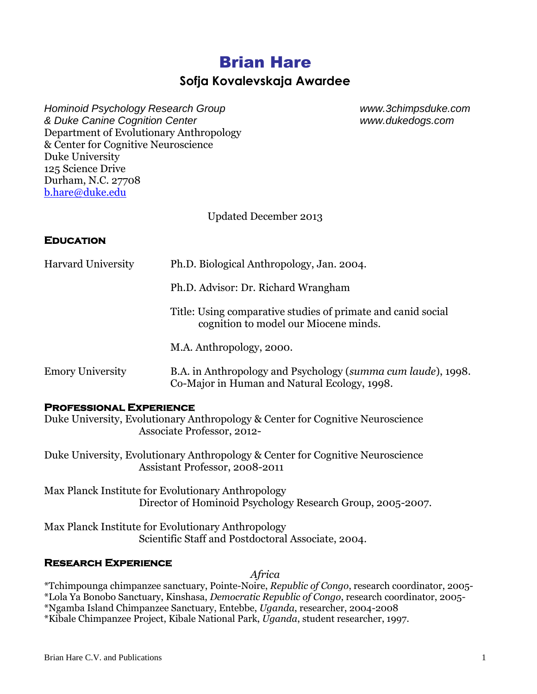# Brian Hare

# **Sofja Kovalevskaja Awardee**

*Hominoid Psychology Research Group www.3chimpsduke.com & Duke Canine Cognition Center www.dukedogs.com* Department of Evolutionary Anthropology & Center for Cognitive Neuroscience Duke University 125 Science Drive Durham, N.C. 27708 [b.hare@duke.edu](mailto:b.hare@duke.edu)

Updated December 2013

## **Education**

| <b>Harvard University</b> | Ph.D. Biological Anthropology, Jan. 2004.                                                                    |
|---------------------------|--------------------------------------------------------------------------------------------------------------|
|                           | Ph.D. Advisor: Dr. Richard Wrangham                                                                          |
|                           | Title: Using comparative studies of primate and canid social<br>cognition to model our Miocene minds.        |
|                           | M.A. Anthropology, 2000.                                                                                     |
| <b>Emory University</b>   | B.A. in Anthropology and Psychology (summa cum laude), 1998.<br>Co-Major in Human and Natural Ecology, 1998. |

## **Professional Experience**

Duke University, Evolutionary Anthropology & Center for Cognitive Neuroscience Associate Professor, 2012-

Duke University, Evolutionary Anthropology & Center for Cognitive Neuroscience Assistant Professor, 2008-2011

Max Planck Institute for Evolutionary Anthropology Director of Hominoid Psychology Research Group, 2005-2007.

Max Planck Institute for Evolutionary Anthropology Scientific Staff and Postdoctoral Associate, 2004.

## **Research Experience**

*Africa*

\*Tchimpounga chimpanzee sanctuary, Pointe-Noire, *Republic of Congo*, research coordinator, 2005- \*Lola Ya Bonobo Sanctuary, Kinshasa, *Democratic Republic of Congo*, research coordinator, 2005-

\*Ngamba Island Chimpanzee Sanctuary, Entebbe, *Uganda*, researcher, 2004-2008

\*Kibale Chimpanzee Project, Kibale National Park, *Uganda*, student researcher, 1997.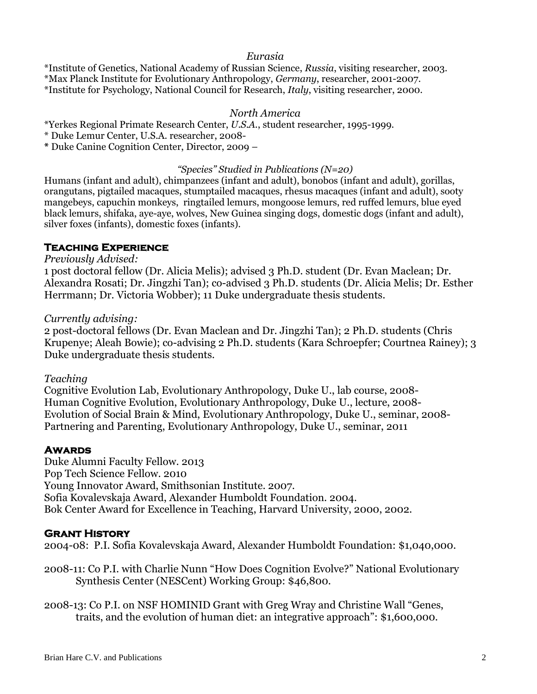## *Eurasia*

\*Institute of Genetics, National Academy of Russian Science, *Russia*, visiting researcher, 2003. \*Max Planck Institute for Evolutionary Anthropology, *Germany*, researcher, 2001-2007. \*Institute for Psychology, National Council for Research, *Italy*, visiting researcher, 2000.

#### *North America*

\*Yerkes Regional Primate Research Center, *U.S.A.*, student researcher, 1995-1999.

\* Duke Lemur Center, U.S.A. researcher, 2008-

**\*** Duke Canine Cognition Center, Director, 2009 –

#### *"Species" Studied in Publications (N=20)*

Humans (infant and adult), chimpanzees (infant and adult), bonobos (infant and adult), gorillas, orangutans, pigtailed macaques, stumptailed macaques, rhesus macaques (infant and adult), sooty mangebeys, capuchin monkeys, ringtailed lemurs, mongoose lemurs, red ruffed lemurs, blue eyed black lemurs, shifaka, aye-aye, wolves, New Guinea singing dogs, domestic dogs (infant and adult), silver foxes (infants), domestic foxes (infants).

#### **Teaching Experience**

#### *Previously Advised:*

1 post doctoral fellow (Dr. Alicia Melis); advised 3 Ph.D. student (Dr. Evan Maclean; Dr. Alexandra Rosati; Dr. Jingzhi Tan); co-advised 3 Ph.D. students (Dr. Alicia Melis; Dr. Esther Herrmann; Dr. Victoria Wobber); 11 Duke undergraduate thesis students.

#### *Currently advising:*

2 post-doctoral fellows (Dr. Evan Maclean and Dr. Jingzhi Tan); 2 Ph.D. students (Chris Krupenye; Aleah Bowie); co-advising 2 Ph.D. students (Kara Schroepfer; Courtnea Rainey); 3 Duke undergraduate thesis students.

#### *Teaching*

Cognitive Evolution Lab, Evolutionary Anthropology, Duke U., lab course, 2008- Human Cognitive Evolution, Evolutionary Anthropology, Duke U., lecture, 2008- Evolution of Social Brain & Mind, Evolutionary Anthropology, Duke U., seminar, 2008- Partnering and Parenting, Evolutionary Anthropology, Duke U., seminar, 2011

#### **Awards**

Duke Alumni Faculty Fellow. 2013 Pop Tech Science Fellow. 2010 Young Innovator Award, Smithsonian Institute. 2007. Sofia Kovalevskaja Award, Alexander Humboldt Foundation. 2004. Bok Center Award for Excellence in Teaching, Harvard University, 2000, 2002.

#### **Grant History**

2004-08: P.I. Sofia Kovalevskaja Award, Alexander Humboldt Foundation: \$1,040,000.

- 2008-11: Co P.I. with Charlie Nunn "How Does Cognition Evolve?" National Evolutionary Synthesis Center (NESCent) Working Group: \$46,800.
- 2008-13: Co P.I. on NSF HOMINID Grant with Greg Wray and Christine Wall "Genes, traits, and the evolution of human diet: an integrative approach": \$1,600,000.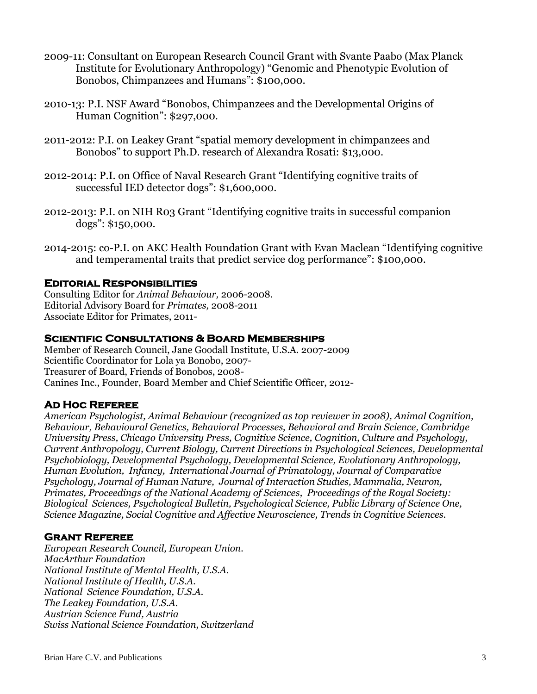- 2009-11: Consultant on European Research Council Grant with Svante Paabo (Max Planck Institute for Evolutionary Anthropology) "Genomic and Phenotypic Evolution of Bonobos, Chimpanzees and Humans": \$100,000.
- 2010-13: P.I. NSF Award "Bonobos, Chimpanzees and the Developmental Origins of Human Cognition": \$297,000.
- 2011-2012: P.I. on Leakey Grant "spatial memory development in chimpanzees and Bonobos" to support Ph.D. research of Alexandra Rosati: \$13,000.
- 2012-2014: P.I. on Office of Naval Research Grant "Identifying cognitive traits of successful IED detector dogs": \$1,600,000.
- 2012-2013: P.I. on NIH R03 Grant "Identifying cognitive traits in successful companion dogs": \$150,000.
- 2014-2015: co-P.I. on AKC Health Foundation Grant with Evan Maclean "Identifying cognitive and temperamental traits that predict service dog performance": \$100,000.

## **Editorial Responsibilities**

Consulting Editor for *Animal Behaviour,* 2006-2008. Editorial Advisory Board for *Primates,* 2008-2011 Associate Editor for Primates, 2011-

## **Scientific Consultations & Board Memberships**

Member of Research Council, Jane Goodall Institute, U.S.A. 2007-2009 Scientific Coordinator for Lola ya Bonobo, 2007- Treasurer of Board, Friends of Bonobos, 2008- Canines Inc., Founder, Board Member and Chief Scientific Officer, 2012-

## **Ad Hoc Referee**

*American Psychologist, Animal Behaviour (recognized as top reviewer in 2008), Animal Cognition, Behaviour, Behavioural Genetics, Behavioral Processes, Behavioral and Brain Science, Cambridge University Press, Chicago University Press, Cognitive Science, Cognition, Culture and Psychology, Current Anthropology, Current Biology, Current Directions in Psychological Sciences, Developmental Psychobiology, Developmental Psychology, Developmental Science, Evolutionary Anthropology, Human Evolution, Infancy, International Journal of Primatology, Journal of Comparative Psychology, Journal of Human Nature, Journal of Interaction Studies, Mammalia, Neuron, Primates, Proceedings of the National Academy of Sciences, Proceedings of the Royal Society: Biological Sciences, Psychological Bulletin, Psychological Science, Public Library of Science One, Science Magazine, Social Cognitive and Affective Neuroscience, Trends in Cognitive Sciences.*

#### **Grant Referee**

*European Research Council, European Union. MacArthur Foundation National Institute of Mental Health, U.S.A. National Institute of Health, U.S.A. National Science Foundation, U.S.A. The Leakey Foundation, U.S.A. Austrian Science Fund, Austria Swiss National Science Foundation, Switzerland*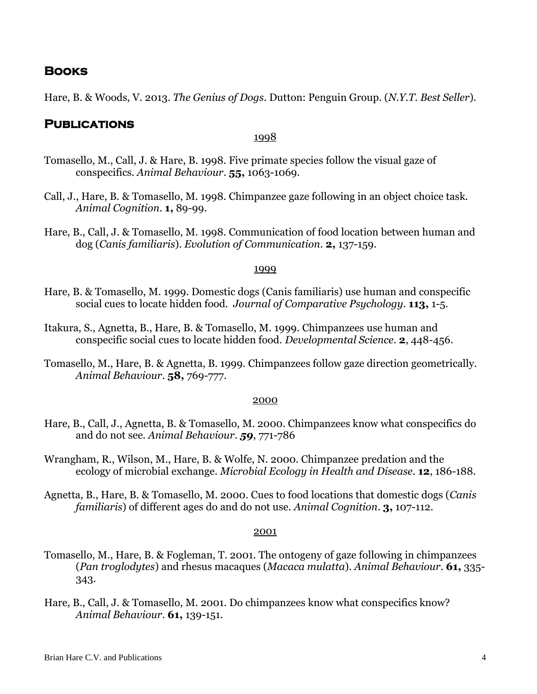## **Books**

Hare, B. & Woods, V. 2013. *The Genius of Dogs*. Dutton: Penguin Group. (*N.Y.T. Best Seller*).

## **Publications**

#### 1998

- Tomasello, M., Call, J. & Hare, B. 1998. Five primate species follow the visual gaze of conspecifics. *Animal Behaviour*. **55,** 1063-1069.
- Call, J., Hare, B. & Tomasello, M. 1998. Chimpanzee gaze following in an object choice task. *Animal Cognition*. **1,** 89-99.
- Hare, B., Call, J. & Tomasello, M. 1998. Communication of food location between human and dog (*Canis familiaris*). *Evolution of Communication*. **2,** 137-159.

#### 1999

- Hare, B. & Tomasello, M. 1999. Domestic dogs (Canis familiaris) use human and conspecific social cues to locate hidden food. *Journal of Comparative Psychology*. **113,** 1-5.
- Itakura, S., Agnetta, B., Hare, B. & Tomasello, M. 1999. Chimpanzees use human and conspecific social cues to locate hidden food. *Developmental Science*. **2**, 448-456.
- Tomasello, M., Hare, B. & Agnetta, B. 1999. Chimpanzees follow gaze direction geometrically. *Animal Behaviour*. **58,** 769-777.

#### 2000

- Hare, B., Call, J., Agnetta, B. & Tomasello, M. 2000. Chimpanzees know what conspecifics do and do not see. *Animal Behaviour*. *59*, 771-786
- Wrangham, R., Wilson, M., Hare, B. & Wolfe, N. 2000. Chimpanzee predation and the ecology of microbial exchange. *Microbial Ecology in Health and Disease*. **12**, 186-188.
- Agnetta, B., Hare, B. & Tomasello, M. 2000. Cues to food locations that domestic dogs (*Canis familiaris*) of different ages do and do not use. *Animal Cognition*. **3,** 107-112.

- Tomasello, M., Hare, B. & Fogleman, T. 2001. The ontogeny of gaze following in chimpanzees (*Pan troglodytes*) and rhesus macaques (*Macaca mulatta*). *Animal Behaviour*. **61,** 335- 343.
- Hare, B., Call, J. & Tomasello, M. 2001. Do chimpanzees know what conspecifics know? *Animal Behaviour*. **61,** 139-151.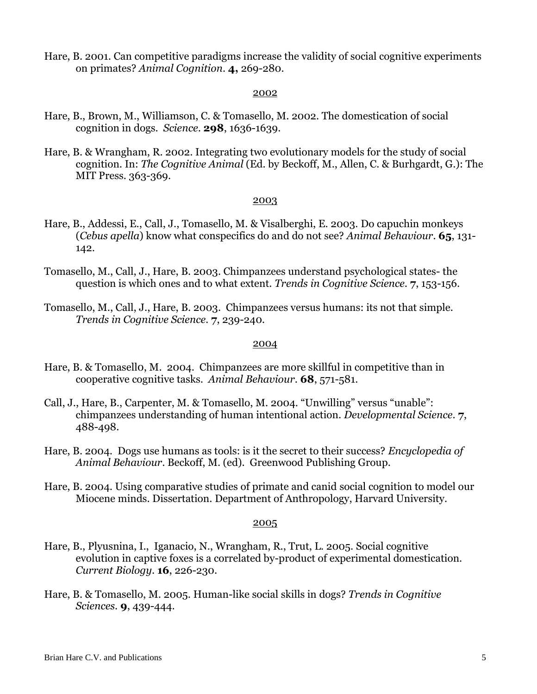Hare, B. 2001. Can competitive paradigms increase the validity of social cognitive experiments on primates? *Animal Cognition*. **4,** 269-280.

#### 2002

- Hare, B., Brown, M., Williamson, C. & Tomasello, M. 2002. The domestication of social cognition in dogs. *Science*. **298**, 1636-1639.
- Hare, B. & Wrangham, R. 2002. Integrating two evolutionary models for the study of social cognition. In: *The Cognitive Animal* (Ed. by Beckoff, M., Allen, C. & Burhgardt, G.): The MIT Press. 363-369.

#### 2003

- Hare, B., Addessi, E., Call, J., Tomasello, M. & Visalberghi, E. 2003. Do capuchin monkeys (*Cebus apella*) know what conspecifics do and do not see? *Animal Behaviour*. **65**, 131- 142.
- Tomasello, M., Call, J., Hare, B. 2003. Chimpanzees understand psychological states- the question is which ones and to what extent. *Trends in Cognitive Science.* **7**, 153-156*.*
- Tomasello, M., Call, J., Hare, B. 2003. Chimpanzees versus humans: its not that simple. *Trends in Cognitive Science.* **7**, 239-240*.*

#### 2004

- Hare, B. & Tomasell0, M. 2004. Chimpanzees are more skillful in competitive than in cooperative cognitive tasks. *Animal Behaviour*. **68**, 571-581.
- Call, J., Hare, B., Carpenter, M. & Tomasello, M. 2004. "Unwilling" versus "unable": chimpanzees understanding of human intentional action. *Developmental Science*. **7**, 488-498.
- Hare, B. 2004. Dogs use humans as tools: is it the secret to their success? *Encyclopedia of Animal Behaviour*. Beckoff, M. (ed). Greenwood Publishing Group.
- Hare, B. 2004. Using comparative studies of primate and canid social cognition to model our Miocene minds. Dissertation. Department of Anthropology, Harvard University.

- Hare, B., Plyusnina, I., Iganacio, N., Wrangham, R., Trut, L. 2005. Social cognitive evolution in captive foxes is a correlated by-product of experimental domestication. *Current Biology*. **16**, 226-230.
- Hare, B. & Tomasello, M. 2005. Human-like social skills in dogs? *Trends in Cognitive Sciences*. **9**, 439-444.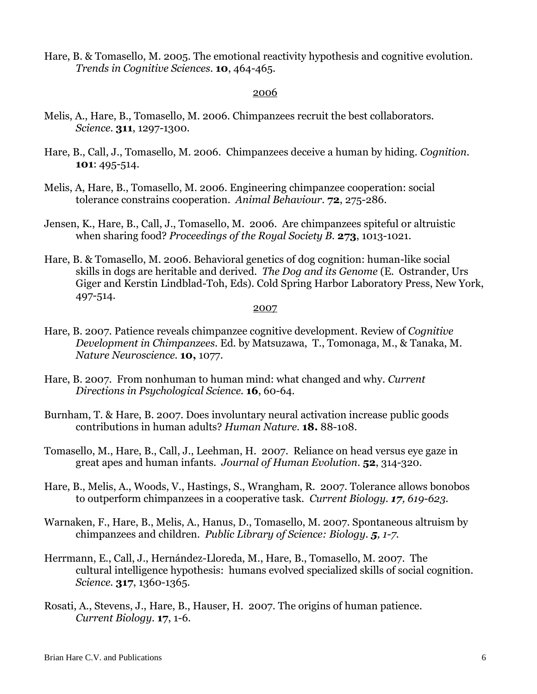Hare, B. & Tomasello, M. 2005. The emotional reactivity hypothesis and cognitive evolution. *Trends in Cognitive Sciences*. **10**, 464-465.

#### 2006

- Melis, A., Hare, B., Tomasello, M. 2006. Chimpanzees recruit the best collaborators. *Science*. **311**, 1297-1300.
- Hare, B., Call, J., Tomasello, M. 2006. Chimpanzees deceive a human by hiding. *Cognition.* **101**: 495-514.
- Melis, A, Hare, B., Tomasello, M. 2006. Engineering chimpanzee cooperation: social tolerance constrains cooperation. *Animal Behaviour.* **72**, 275-286.
- Jensen, K., Hare, B., Call, J., Tomasello, M. 2006. Are chimpanzees spiteful or altruistic when sharing food? *Proceedings of the Royal Society B.* **273**, 1013-1021.
- Hare, B. & Tomasello, M. 2006. Behavioral genetics of dog cognition: human-like social skills in dogs are heritable and derived. *The Dog and its Genome* (E. Ostrander, Urs Giger and Kerstin Lindblad-Toh, Eds). Cold Spring Harbor Laboratory Press, New York, 497-514.

- Hare, B. 2007. Patience reveals chimpanzee cognitive development. Review of *Cognitive Development in Chimpanzees*. Ed. by Matsuzawa, T., Tomonaga, M., & Tanaka, M. *Nature Neuroscience.* **10,** 1077.
- Hare, B. 2007. From nonhuman to human mind: what changed and why. *Current Directions in Psychological Science.* **16**, 60-64.
- Burnham, T. & Hare, B. 2007. Does involuntary neural activation increase public goods contributions in human adults? *Human Nature*. **18.** 88-108.
- Tomasello, M., Hare, B., Call, J., Leehman, H. 2007. Reliance on head versus eye gaze in great apes and human infants. *Journal of Human Evolution*. **52**, 314-320.
- Hare, B., Melis, A., Woods, V., Hastings, S., Wrangham, R. 2007. Tolerance allows bonobos to outperform chimpanzees in a cooperative task. *Current Biology. 17, 619-623.*
- Warnaken, F., Hare, B., Melis, A., Hanus, D., Tomasello, M. 2007. Spontaneous altruism by chimpanzees and children. *Public Library of Science: Biology. 5, 1-7.*
- Herrmann, E., Call, J., Hernández-Lloreda, M., Hare, B., Tomasello, M. 2007. The cultural intelligence hypothesis: humans evolved specialized skills of social cognition. *Science.* **317**, 1360-1365*.*
- Rosati, A., Stevens, J., Hare, B., Hauser, H. 2007. The origins of human patience. *Current Biology.* **17**, 1-6.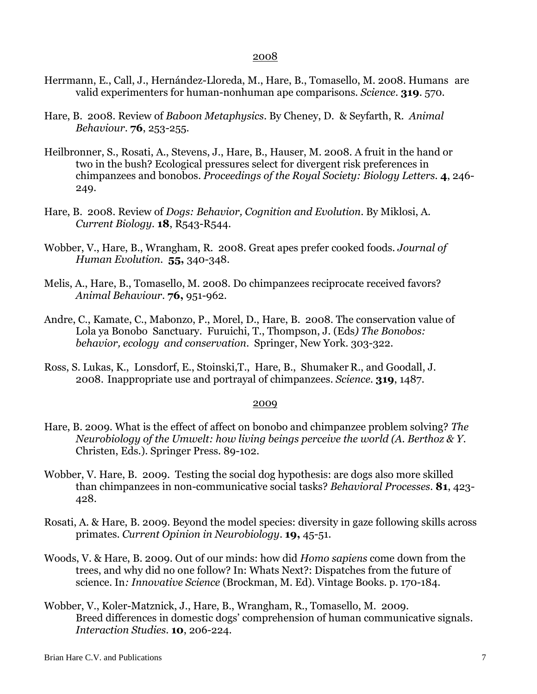- Herrmann, E., Call, J., Hernández-Lloreda, M., Hare, B., Tomasello, M. 2008. Humans are valid experimenters for human-nonhuman ape comparisons*. Science*. **319**. 570.
- Hare, B. 2008. Review of *Baboon Metaphysics*. By Cheney, D. & Seyfarth, R. *Animal Behaviour*. **76**, 253-255.
- Heilbronner, S., Rosati, A., Stevens, J., Hare, B., Hauser, M. 2008. A fruit in the hand or two in the bush? Ecological pressures select for divergent risk preferences in chimpanzees and bonobos. *Proceedings of the Royal Society: Biology Letters.* **4**, 246- 249.
- Hare, B. 2008. Review of *Dogs: Behavior, Cognition and Evolution*. By Miklosi, A. *Current Biology.* **18**, R543-R544.
- Wobber, V., Hare, B., Wrangham, R. 2008. Great apes prefer cooked foods. *Journal of Human Evolution.* **55,** 340-348.
- Melis, A., Hare, B., Tomasello, M. 2008. Do chimpanzees reciprocate received favors? *Animal Behaviour.* **76,** 951-962.
- Andre, C., Kamate, C., Mabonzo, P., Morel, D., Hare, B. 2008. The conservation value of Lola ya Bonobo Sanctuary. Furuichi, T., Thompson, J. (Eds*) The Bonobos: behavior, ecology and conservation*. Springer, New York. 303-322.
- Ross, S. Lukas, K., Lonsdorf, E., Stoinski,T., Hare, B., Shumaker R., and Goodall, J. 2008. Inappropriate use and portrayal of chimpanzees. *Science.* **319**, 1487*.*

- Hare, B. 2009. What is the effect of affect on bonobo and chimpanzee problem solving? *The Neurobiology of the Umwelt: how living beings perceive the world (A. Berthoz & Y*. Christen, Eds.). Springer Press. 89-102.
- Wobber, V. Hare, B. 2009. Testing the social dog hypothesis: are dogs also more skilled than chimpanzees in non-communicative social tasks? *Behavioral Processes.* **81**, 423- 428.
- Rosati, A. & Hare, B. 2009. Beyond the model species: diversity in gaze following skills across primates. *Current Opinion in Neurobiology*. **19,** 45-51.
- Woods, V. & Hare, B. 2009. Out of our minds: how did *Homo sapiens* come down from the trees, and why did no one follow? In: Whats Next?: Dispatches from the future of science. In*: Innovative Science* (Brockman, M. Ed). Vintage Books. p. 170-184.
- Wobber, V., Koler-Matznick, J., Hare, B., Wrangham, R., Tomasello, M. 2009. Breed differences in domestic dogs' comprehension of human communicative signals. *Interaction Studies*. **10**, 206-224.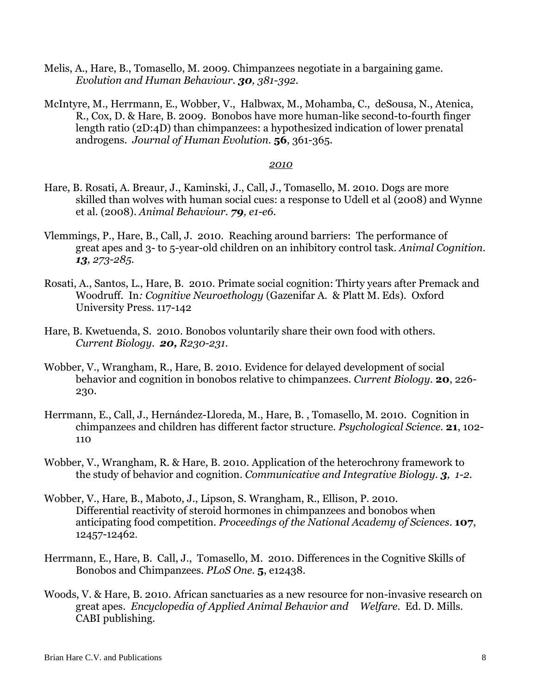- Melis, A., Hare, B., Tomasello, M. 2009. Chimpanzees negotiate in a bargaining game. *Evolution and Human Behaviour. 30, 381-392.*
- McIntyre, M., Herrmann, E., Wobber, V., Halbwax, M., Mohamba, C., deSousa, N., Atenica, R., Cox, D. & Hare, B. 2009. Bonobos have more human-like second-to-fourth finger length ratio (2D:4D) than chimpanzees: a hypothesized indication of lower prenatal androgens. *Journal of Human Evolution.* **56**, 361-365.

- Hare, B. Rosati, A. Breaur, J., Kaminski, J., Call, J., Tomasello, M. 2010. Dogs are more skilled than wolves with human social cues: a response to Udell et al (2008) and Wynne et al. (2008). *Animal Behaviour. 79, e1-e6.*
- Vlemmings, P., Hare, B., Call, J. 2010. Reaching around barriers: The performance of great apes and 3- to 5-year-old children on an inhibitory control task. *Animal Cognition. 13, 273-285.*
- Rosati, A., Santos, L., Hare, B. 2010. Primate social cognition: Thirty years after Premack and Woodruff. In*: Cognitive Neuroethology* (Gazenifar A. & Platt M. Eds). Oxford University Press. 117-142
- Hare, B. Kwetuenda, S. 2010. Bonobos voluntarily share their own food with others. *Current Biology. 20, R230-231.*
- Wobber, V., Wrangham, R., Hare, B. 2010. Evidence for delayed development of social behavior and cognition in bonobos relative to chimpanzees. *Current Biology.* **20**, 226- 230.
- Herrmann, E., Call, J., Hernández-Lloreda, M., Hare, B. , Tomasello, M. 2010. Cognition in chimpanzees and children has different factor structure. *Psychological Science.* **21**, 102- 110
- Wobber, V., Wrangham, R. & Hare, B. 2010. Application of the heterochrony framework to the study of behavior and cognition. *Communicative and Integrative Biology. 3, 1-2.*
- Wobber, V., Hare, B., Maboto, J., Lipson, S. Wrangham, R., Ellison, P. 2010. Differential reactivity of steroid hormones in chimpanzees and bonobos when anticipating food competition. *Proceedings of the National Academy of Sciences*. **107**, 12457-12462.
- Herrmann, E., Hare, B. Call, J., Tomasello, M. 2010. Differences in the Cognitive Skills of Bonobos and Chimpanzees. *PLoS One.* **5**, e12438.
- Woods, V. & Hare, B. 2010. African sanctuaries as a new resource for non-invasive research on great apes. *Encyclopedia of Applied Animal Behavior and Welfare.* Ed. D. Mills. CABI publishing.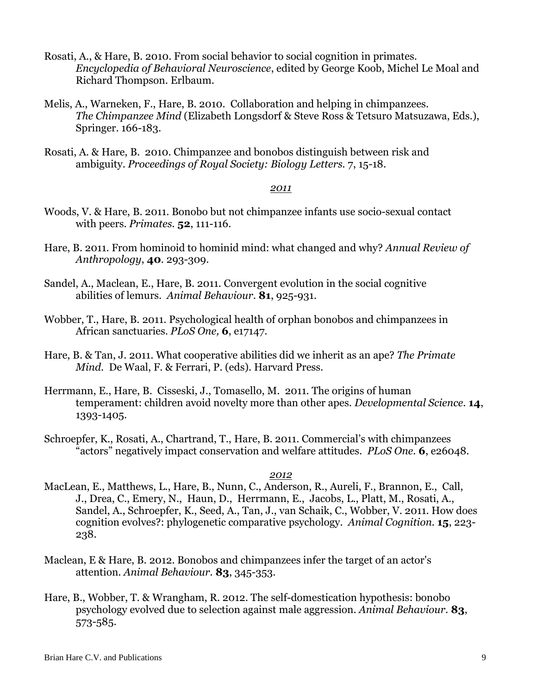- Rosati, A., & Hare, B. 2010. From social behavior to social cognition in primates. *Encyclopedia of Behavioral Neuroscience*, edited by George Koob, Michel Le Moal and Richard Thompson. Erlbaum.
- Melis, A., Warneken, F., Hare, B. 2010. Collaboration and helping in chimpanzees. *The Chimpanzee Mind* (Elizabeth Longsdorf & Steve Ross & Tetsuro Matsuzawa, Eds.), Springer. 166-183.
- Rosati, A. & Hare, B. 2010. Chimpanzee and bonobos distinguish between risk and ambiguity. *Proceedings of Royal Society: Biology Letters.* 7, 15-18.

- Woods, V. & Hare, B. 2011. Bonobo but not chimpanzee infants use socio-sexual contact with peers. *Primates.* **52**, 111-116.
- Hare, B. 2011. From hominoid to hominid mind: what changed and why? *Annual Review of Anthropology*, **40**. 293-309.
- Sandel, A., Maclean, E., Hare, B. 2011. Convergent evolution in the social cognitive abilities of lemurs. *Animal Behaviour*. **81**, 925-931.
- Wobber, T., Hare, B. 2011. Psychological health of orphan bonobos and chimpanzees in African sanctuaries. *PLoS One,* **6**, e17147.
- Hare, B. & Tan, J. 2011. What cooperative abilities did we inherit as an ape? *The Primate Mind*. De Waal, F. & Ferrari, P. (eds). Harvard Press.
- Herrmann, E., Hare, B. Cisseski, J., Tomasello, M. 2011. The origins of human temperament: children avoid novelty more than other apes. *Developmental Science.* **14**, 1393-1405.
- Schroepfer, K., Rosati, A., Chartrand, T., Hare, B. 2011. Commercial's with chimpanzees "actors" negatively impact conservation and welfare attitudes. *PLoS One.* **6**, e26048.

- MacLean, E., Matthews, L., Hare, B., Nunn, C., Anderson, R., Aureli, F., Brannon, E., Call, J., Drea, C., Emery, N., Haun, D., Herrmann, E., Jacobs, L., Platt, M., Rosati, A., Sandel, A., Schroepfer, K., Seed, A., Tan, J., van Schaik, C., Wobber, V. 2011. How does cognition evolves?: phylogenetic comparative psychology. *Animal Cognition.* **15**, 223- 238.
- Maclean, E & Hare, B. 2012. Bonobos and chimpanzees infer the target of an actor's attention. *Animal Behaviour.* **83**, 345-353.
- Hare, B., Wobber, T. & Wrangham, R. 2012. The self-domestication hypothesis: bonobo psychology evolved due to selection against male aggression. *Animal Behaviour*. **83**, 573-585.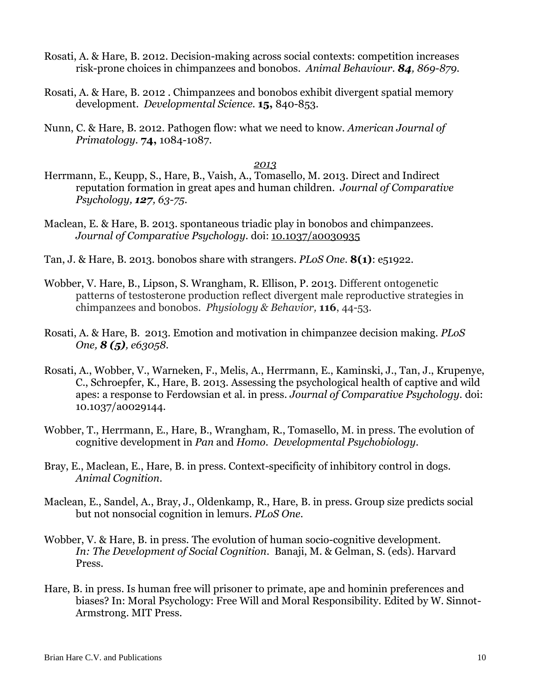- Rosati, A. & Hare, B. 2012. Decision-making across social contexts: competition increases risk-prone choices in chimpanzees and bonobos. *Animal Behaviour. 84, 869-879.*
- Rosati, A. & Hare, B. 2012 . Chimpanzees and bonobos exhibit divergent spatial memory development. *Developmental Science.* **15,** 840-853.
- Nunn, C. & Hare, B. 2012. Pathogen flow: what we need to know. *American Journal of Primatology.* **74,** 1084-1087.

- Herrmann, E., Keupp, S., Hare, B., Vaish, A., Tomasello, M. 2013. Direct and Indirect reputation formation in great apes and human children. *Journal of Comparative Psychology, 127, 63-75*.
- Maclean, E. & Hare, B. 2013. spontaneous triadic play in bonobos and chimpanzees. *Journal of Comparative Psychology.* doi: [10.1037/a0030935](http://psycnet.apa.org/doi/10.1037/a0030935)
- Tan, J. & Hare, B. 2013. bonobos share with strangers. *PLoS One*. **8(1)**: e51922.
- Wobber, V. Hare, B., Lipson, S. Wrangham, R. Ellison, P. 2013. Different ontogenetic patterns of testosterone production reflect divergent male reproductive strategies in chimpanzees and bonobos. *Physiology & Behavior,* **116**, 44-53.
- Rosati, A. & Hare, B. 2013. Emotion and motivation in chimpanzee decision making*. PLoS One, 8 (5), e63058.*
- Rosati, A., Wobber, V., Warneken, F., Melis, A., Herrmann, E., Kaminski, J., Tan, J., Krupenye, C., Schroepfer, K., Hare, B. 2013. Assessing the psychological health of captive and wild apes: a response to Ferdowsian et al. in press. *Journal of Comparative Psychology.* doi: 10.1037/a0029144.
- Wobber, T., Herrmann, E., Hare, B., Wrangham, R., Tomasello, M. in press. The evolution of cognitive development in *Pan* and *Homo*. *Developmental Psychobiology*.
- Bray, E., Maclean, E., Hare, B. in press. Context-specificity of inhibitory control in dogs. *Animal Cognition*.
- Maclean, E., Sandel, A., Bray, J., Oldenkamp, R., Hare, B. in press. Group size predicts social but not nonsocial cognition in lemurs. *PLoS One*.
- Wobber, V. & Hare, B. in press. The evolution of human socio-cognitive development. *In: The Development of Social Cognition.* Banaji, M. & Gelman, S. (eds). Harvard Press.
- Hare, B. in press. Is human free will prisoner to primate, ape and hominin preferences and biases? In: Moral Psychology: Free Will and Moral Responsibility. Edited by W. Sinnot-Armstrong. MIT Press.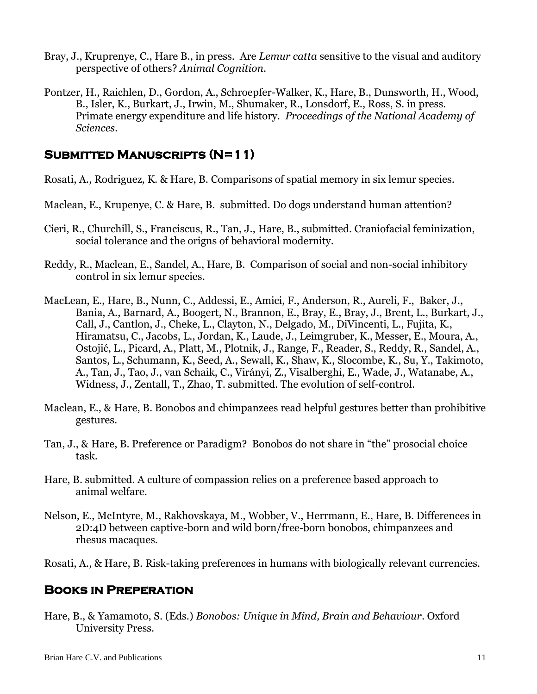- Bray, J., Kruprenye, C., Hare B., in press. Are *Lemur catta* sensitive to the visual and auditory perspective of others? *Animal Cognition*.
- Pontzer, H., Raichlen, D., Gordon, A., Schroepfer-Walker, K., Hare, B., Dunsworth, H., Wood, B., Isler, K., Burkart, J., Irwin, M., Shumaker, R., Lonsdorf, E., Ross, S. in press. Primate energy expenditure and life history. *Proceedings of the National Academy of Sciences.*

# **Submitted Manuscripts (N=11)**

Rosati, A., Rodriguez, K. & Hare, B. Comparisons of spatial memory in six lemur species.

- Maclean, E., Krupenye, C. & Hare, B. submitted. Do dogs understand human attention?
- Cieri, R., Churchill, S., Franciscus, R., Tan, J., Hare, B., submitted. Craniofacial feminization, social tolerance and the origns of behavioral modernity.
- Reddy, R., Maclean, E., Sandel, A., Hare, B. Comparison of social and non-social inhibitory control in six lemur species.
- MacLean, E., Hare, B., Nunn, C., Addessi, E., Amici, F., Anderson, R., Aureli, F., Baker, J., Bania, A., Barnard, A., Boogert, N., Brannon, E., Bray, E., Bray, J., Brent, L., Burkart, J., Call, J., Cantlon, J., Cheke, L., Clayton, N., Delgado, M., DiVincenti, L., Fujita, K., Hiramatsu, C., Jacobs, L., Jordan, K., Laude, J., Leimgruber, K., Messer, E., Moura, A., Ostojić, L., Picard, A., Platt, M., Plotnik, J., Range, F., Reader, S., Reddy, R., Sandel, A., Santos, L., Schumann, K., Seed, A., Sewall, K., Shaw, K., Slocombe, K., Su, Y., Takimoto, A., Tan, J., Tao, J., van Schaik, C., Virányi, Z., Visalberghi, E., Wade, J., Watanabe, A., Widness, J., Zentall, T., Zhao, T. submitted. The evolution of self-control.
- Maclean, E., & Hare, B. Bonobos and chimpanzees read helpful gestures better than prohibitive gestures.
- Tan, J., & Hare, B. Preference or Paradigm? Bonobos do not share in "the" prosocial choice task.
- Hare, B. submitted. A culture of compassion relies on a preference based approach to animal welfare.
- Nelson, E., McIntyre, M., Rakhovskaya, M., Wobber, V., Herrmann, E., Hare, B. Differences in 2D:4D between captive-born and wild born/free-born bonobos, chimpanzees and rhesus macaques.
- Rosati, A., & Hare, B. Risk-taking preferences in humans with biologically relevant currencies.

## **Books in Preperation**

Hare, B., & Yamamoto, S. (Eds.) *Bonobos: Unique in Mind, Brain and Behaviour*. Oxford University Press.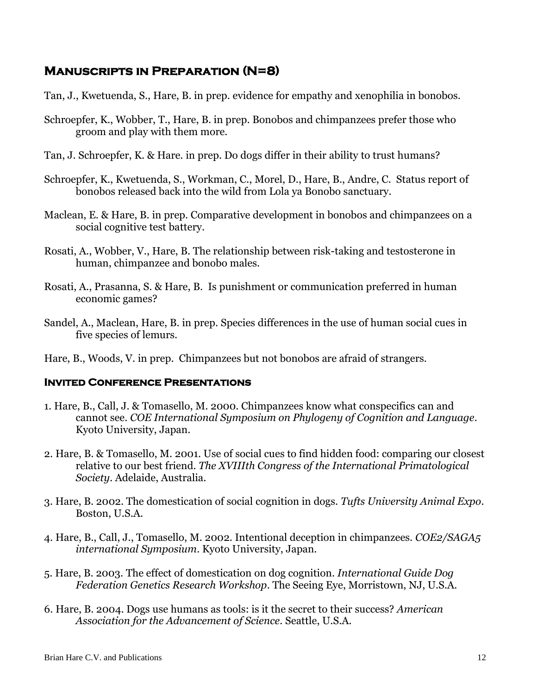# **Manuscripts in Preparation (N=8)**

Tan, J., Kwetuenda, S., Hare, B. in prep. evidence for empathy and xenophilia in bonobos.

- Schroepfer, K., Wobber, T., Hare, B. in prep. Bonobos and chimpanzees prefer those who groom and play with them more.
- Tan, J. Schroepfer, K. & Hare. in prep. Do dogs differ in their ability to trust humans?
- Schroepfer, K., Kwetuenda, S., Workman, C., Morel, D., Hare, B., Andre, C. Status report of bonobos released back into the wild from Lola ya Bonobo sanctuary.
- Maclean, E. & Hare, B. in prep. Comparative development in bonobos and chimpanzees on a social cognitive test battery.
- Rosati, A., Wobber, V., Hare, B. The relationship between risk-taking and testosterone in human, chimpanzee and bonobo males.
- Rosati, A., Prasanna, S. & Hare, B. Is punishment or communication preferred in human economic games?
- Sandel, A., Maclean, Hare, B. in prep. Species differences in the use of human social cues in five species of lemurs.
- Hare, B., Woods, V. in prep. Chimpanzees but not bonobos are afraid of strangers.

## **Invited Conference Presentations**

- 1. Hare, B., Call, J. & Tomasello, M. 2000. Chimpanzees know what conspecifics can and cannot see. *COE International Symposium on Phylogeny of Cognition and Language*. Kyoto University, Japan.
- 2. Hare, B. & Tomasello, M. 2001. Use of social cues to find hidden food: comparing our closest relative to our best friend. *The XVIIIth Congress of the International Primatological Society*. Adelaide, Australia.
- 3. Hare, B. 2002. The domestication of social cognition in dogs. *Tufts University Animal Expo*. Boston, U.S.A.
- 4. Hare, B., Call, J., Tomasello, M. 2002. Intentional deception in chimpanzees. *COE2/SAGA5 international Symposium*. Kyoto University, Japan.
- 5. Hare, B. 2003. The effect of domestication on dog cognition. *International Guide Dog Federation Genetics Research Workshop*. The Seeing Eye, Morristown, NJ, U.S.A.
- 6. Hare, B. 2004. Dogs use humans as tools: is it the secret to their success? *American Association for the Advancement of Science*. Seattle, U.S.A.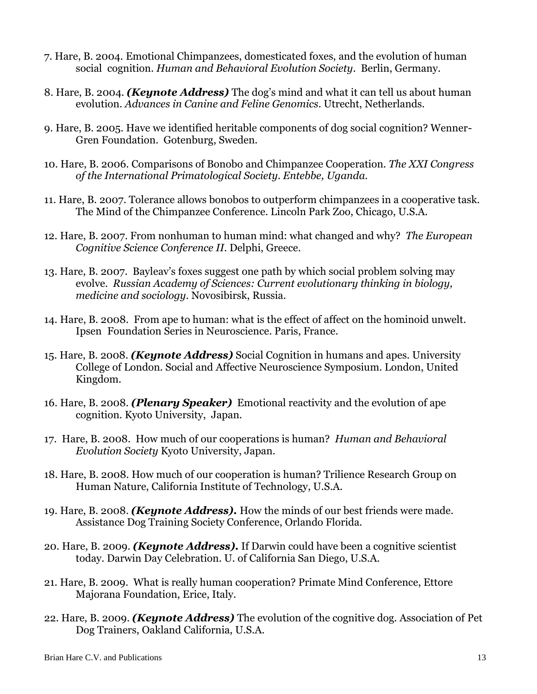- 7. Hare, B. 2004. Emotional Chimpanzees, domesticated foxes, and the evolution of human social cognition. *Human and Behavioral Evolution Society*. Berlin, Germany.
- 8. Hare, B. 2004. *(Keynote Address)* The dog's mind and what it can tell us about human evolution. *Advances in Canine and Feline Genomics*. Utrecht, Netherlands.
- 9. Hare, B. 2005. Have we identified heritable components of dog social cognition? Wenner-Gren Foundation. Gotenburg, Sweden.
- 10. Hare, B. 2006. Comparisons of Bonobo and Chimpanzee Cooperation. *The XXI Congress of the International Primatological Society. Entebbe, Uganda.*
- 11. Hare, B. 2007. Tolerance allows bonobos to outperform chimpanzees in a cooperative task. The Mind of the Chimpanzee Conference. Lincoln Park Zoo, Chicago, U.S.A.
- 12. Hare, B. 2007. From nonhuman to human mind: what changed and why? *The European Cognitive Science Conference II*. Delphi, Greece.
- 13. Hare, B. 2007. Bayleav's foxes suggest one path by which social problem solving may evolve. *Russian Academy of Sciences: Current evolutionary thinking in biology, medicine and sociology*. Novosibirsk, Russia.
- 14. Hare, B. 2008. From ape to human: what is the effect of affect on the hominoid unwelt. Ipsen Foundation Series in Neuroscience. Paris, France.
- 15. Hare, B. 2008. *(Keynote Address)* Social Cognition in humans and apes. University College of London. Social and Affective Neuroscience Symposium. London, United Kingdom.
- 16. Hare, B. 2008. *(Plenary Speaker)* Emotional reactivity and the evolution of ape cognition. Kyoto University, Japan.
- 17. Hare, B. 2008. How much of our cooperations is human? *Human and Behavioral Evolution Society* Kyoto University, Japan.
- 18. Hare, B. 2008. How much of our cooperation is human? Trilience Research Group on Human Nature, California Institute of Technology, U.S.A.
- 19. Hare, B. 2008. *(Keynote Address).* How the minds of our best friends were made. Assistance Dog Training Society Conference, Orlando Florida.
- 20. Hare, B. 2009. *(Keynote Address).* If Darwin could have been a cognitive scientist today. Darwin Day Celebration. U. of California San Diego, U.S.A.
- 21. Hare, B. 2009. What is really human cooperation? Primate Mind Conference, Ettore Majorana Foundation, Erice, Italy.
- 22. Hare, B. 2009. *(Keynote Address)* The evolution of the cognitive dog. Association of Pet Dog Trainers, Oakland California, U.S.A.